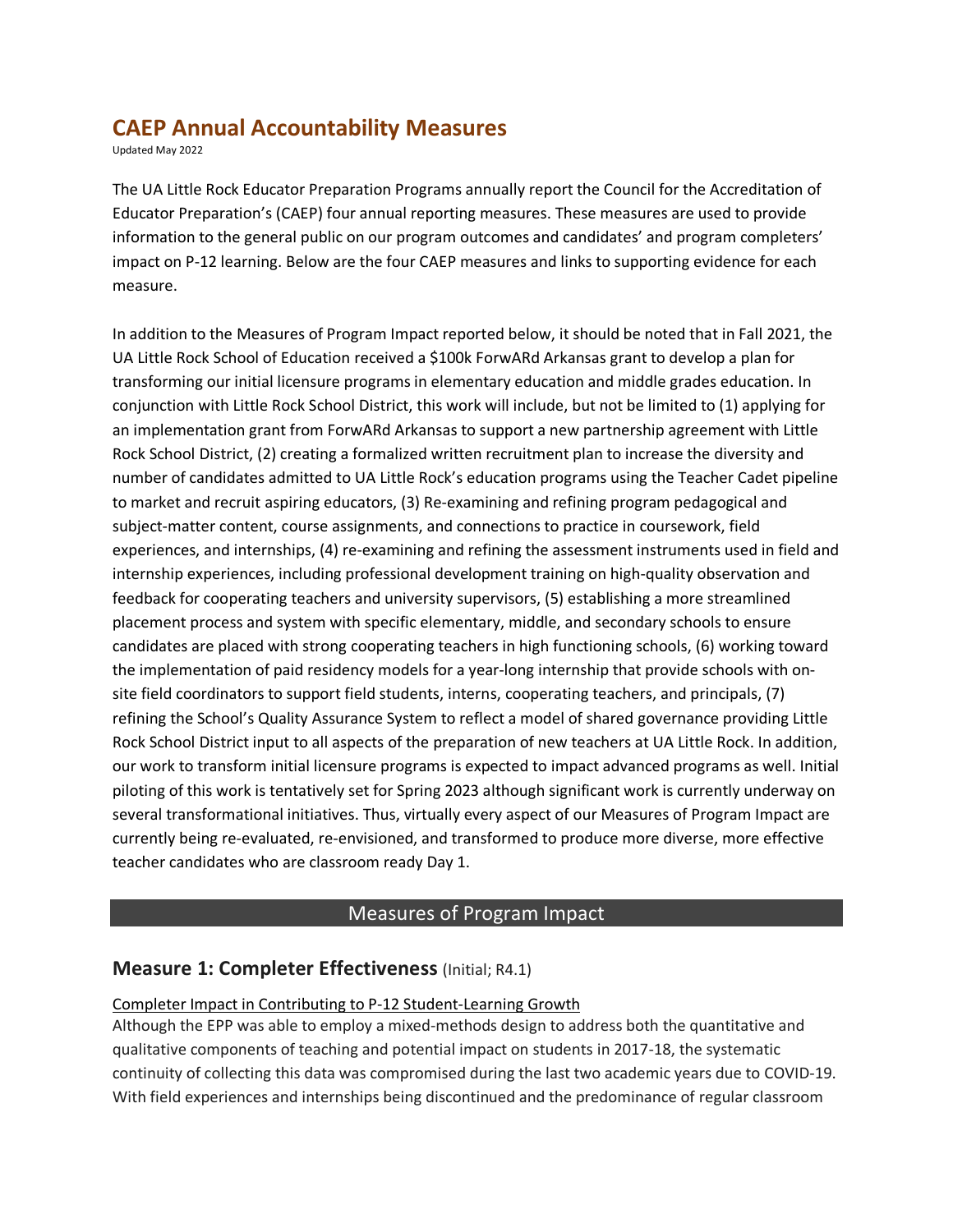# **CAEP Annual Accountability Measures**

Updated May 2022

The UA Little Rock Educator Preparation Programs annually report the Council for the Accreditation of Educator Preparation's (CAEP) four annual reporting measures. These measures are used to provide information to the general public on our program outcomes and candidates' and program completers' impact on P-12 learning. Below are the four CAEP measures and links to supporting evidence for each measure.

In addition to the Measures of Program Impact reported below, it should be noted that in Fall 2021, the UA Little Rock School of Education received a \$100k ForwARd Arkansas grant to develop a plan for transforming our initial licensure programs in elementary education and middle grades education. In conjunction with Little Rock School District, this work will include, but not be limited to (1) applying for an implementation grant from ForwARd Arkansas to support a new partnership agreement with Little Rock School District, (2) creating a formalized written recruitment plan to increase the diversity and number of candidates admitted to UA Little Rock's education programs using the Teacher Cadet pipeline to market and recruit aspiring educators, (3) Re-examining and refining program pedagogical and subject-matter content, course assignments, and connections to practice in coursework, field experiences, and internships, (4) re-examining and refining the assessment instruments used in field and internship experiences, including professional development training on high-quality observation and feedback for cooperating teachers and university supervisors, (5) establishing a more streamlined placement process and system with specific elementary, middle, and secondary schools to ensure candidates are placed with strong cooperating teachers in high functioning schools, (6) working toward the implementation of paid residency models for a year-long internship that provide schools with onsite field coordinators to support field students, interns, cooperating teachers, and principals, (7) refining the School's Quality Assurance System to reflect a model of shared governance providing Little Rock School District input to all aspects of the preparation of new teachers at UA Little Rock. In addition, our work to transform initial licensure programs is expected to impact advanced programs as well. Initial piloting of this work is tentatively set for Spring 2023 although significant work is currently underway on several transformational initiatives. Thus, virtually every aspect of our Measures of Program Impact are currently being re-evaluated, re-envisioned, and transformed to produce more diverse, more effective teacher candidates who are classroom ready Day 1.

# Measures of Program Impact

### **Measure 1: Completer Effectiveness** (Initial; R4.1)

### Completer Impact in Contributing to P-12 Student-Learning Growth

Although the EPP was able to employ a mixed-methods design to address both the quantitative and qualitative components of teaching and potential impact on students in 2017-18, the systematic continuity of collecting this data was compromised during the last two academic years due to COVID-19. With field experiences and internships being discontinued and the predominance of regular classroom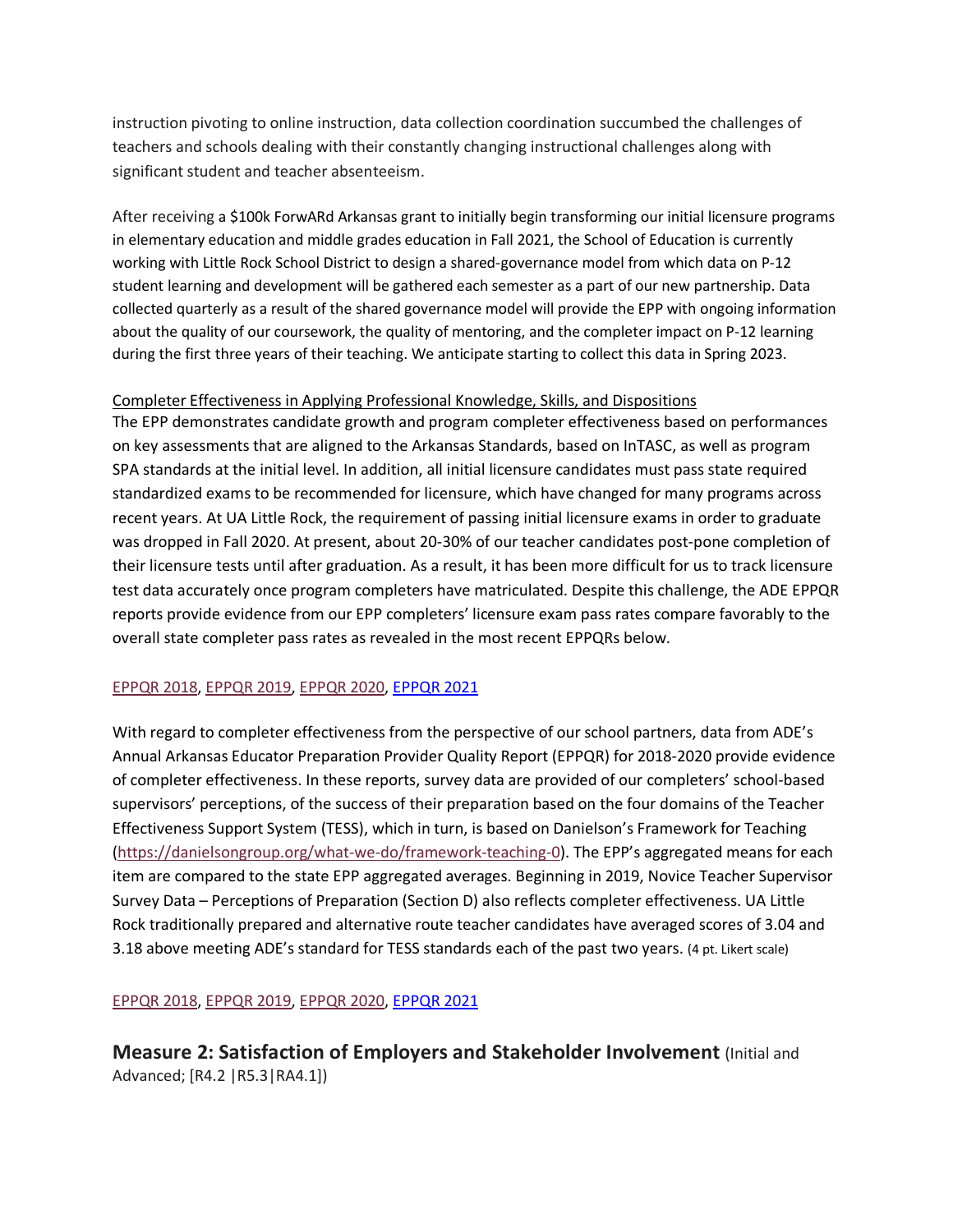instruction pivoting to online instruction, data collection coordination succumbed the challenges of teachers and schools dealing with their constantly changing instructional challenges along with significant student and teacher absenteeism.

After receiving a \$100k ForwARd Arkansas grant to initially begin transforming our initial licensure programs in elementary education and middle grades education in Fall 2021, the School of Education is currently working with Little Rock School District to design a shared-governance model from which data on P-12 student learning and development will be gathered each semester as a part of our new partnership. Data collected quarterly as a result of the shared governance model will provide the EPP with ongoing information about the quality of our coursework, the quality of mentoring, and the completer impact on P-12 learning during the first three years of their teaching. We anticipate starting to collect this data in Spring 2023.

#### Completer Effectiveness in Applying Professional Knowledge, Skills, and Dispositions

The EPP demonstrates candidate growth and program completer effectiveness based on performances on key assessments that are aligned to the Arkansas Standards, based on InTASC, as well as program SPA standards at the initial level. In addition, all initial licensure candidates must pass state required standardized exams to be recommended for licensure, which have changed for many programs across recent years. At UA Little Rock, the requirement of passing initial licensure exams in order to graduate was dropped in Fall 2020. At present, about 20-30% of our teacher candidates post-pone completion of their licensure tests until after graduation. As a result, it has been more difficult for us to track licensure test data accurately once program completers have matriculated. Despite this challenge, the ADE EPPQR reports provide evidence from our EPP completers' licensure exam pass rates compare favorably to the overall state completer pass rates as revealed in the most recent EPPQRs below.

#### EPPQR 2018, EPPQR 2019, EPPQR 2020, EPPQR 2021

With regard to completer effectiveness from the perspective of our school partners, data from ADE's Annual Arkansas Educator Preparation Provider Quality Report (EPPQR) for 2018-2020 provide evidence of completer effectiveness. In these reports, survey data are provided of our completers' school-based supervisors' perceptions, of the success of their preparation based on the four domains of the Teacher Effectiveness Support System (TESS), which in turn, is based on Danielson's Framework for Teaching (https://danielsongroup.org/what-we-do/framework-teaching-0). The EPP's aggregated means for each item are compared to the state EPP aggregated averages. Beginning in 2019, Novice Teacher Supervisor Survey Data – Perceptions of Preparation (Section D) also reflects completer effectiveness. UA Little Rock traditionally prepared and alternative route teacher candidates have averaged scores of 3.04 and 3.18 above meeting ADE's standard for TESS standards each of the past two years. (4 pt. Likert scale)

#### EPPQR 2018, EPPQR 2019, EPPQR 2020, EPPQR 2021

**Measure 2: Satisfaction of Employers and Stakeholder Involvement** (Initial and Advanced; [R4.2 |R5.3|RA4.1])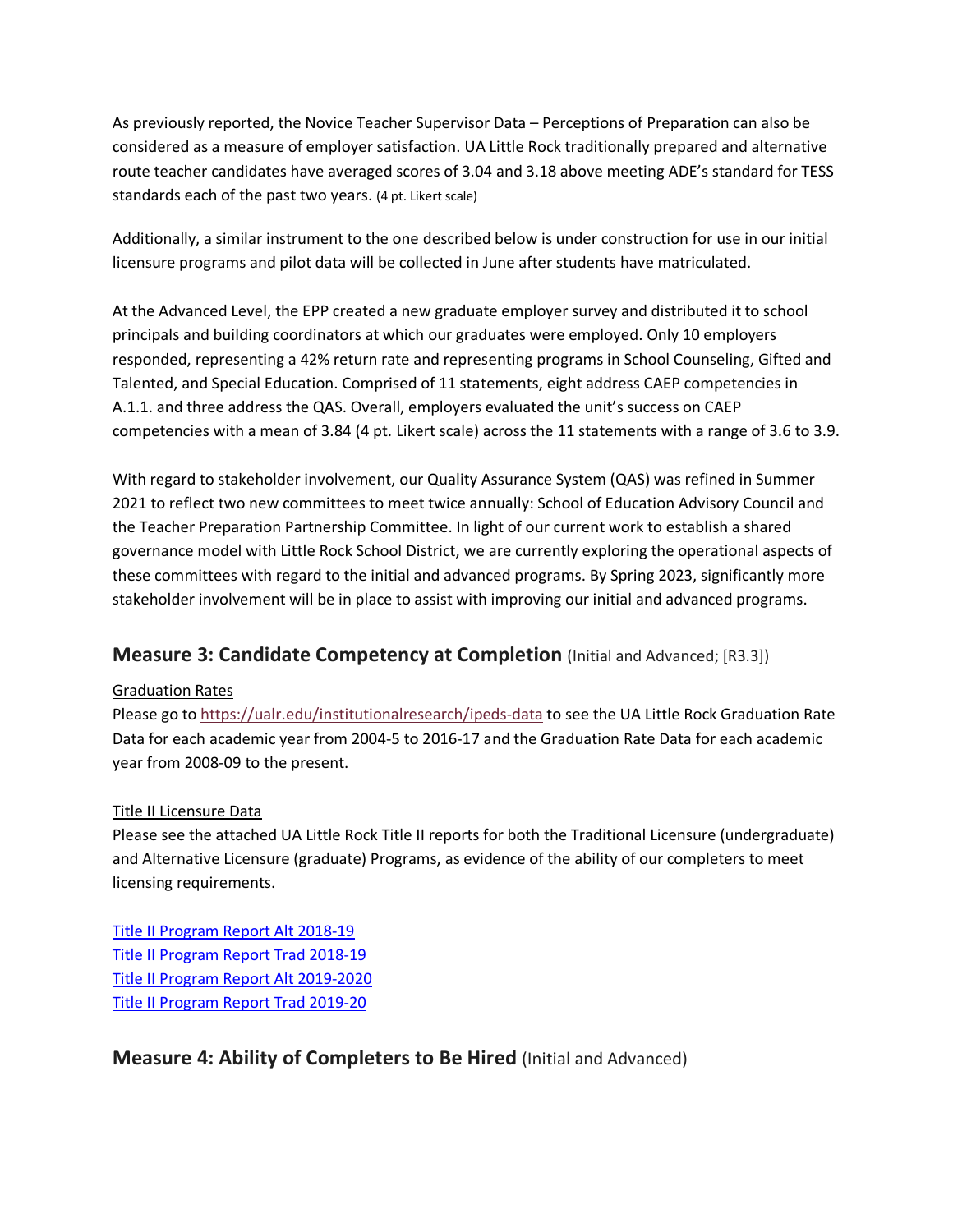As previously reported, the Novice Teacher Supervisor Data – Perceptions of Preparation can also be considered as a measure of employer satisfaction. UA Little Rock traditionally prepared and alternative route teacher candidates have averaged scores of 3.04 and 3.18 above meeting ADE's standard for TESS standards each of the past two years. (4 pt. Likert scale)

Additionally, a similar instrument to the one described below is under construction for use in our initial licensure programs and pilot data will be collected in June after students have matriculated.

At the Advanced Level, the EPP created a new graduate employer survey and distributed it to school principals and building coordinators at which our graduates were employed. Only 10 employers responded, representing a 42% return rate and representing programs in School Counseling, Gifted and Talented, and Special Education. Comprised of 11 statements, eight address CAEP competencies in A.1.1. and three address the QAS. Overall, employers evaluated the unit's success on CAEP competencies with a mean of 3.84 (4 pt. Likert scale) across the 11 statements with a range of 3.6 to 3.9.

With regard to stakeholder involvement, our Quality Assurance System (QAS) was refined in Summer 2021 to reflect two new committees to meet twice annually: School of Education Advisory Council and the Teacher Preparation Partnership Committee. In light of our current work to establish a shared governance model with Little Rock School District, we are currently exploring the operational aspects of these committees with regard to the initial and advanced programs. By Spring 2023, significantly more stakeholder involvement will be in place to assist with improving our initial and advanced programs.

# **Measure 3: Candidate Competency at Completion** (Initial and Advanced; [R3.3])

### Graduation Rates

Please go to https://ualr.edu/institutionalresearch/ipeds-data to see the UA Little Rock Graduation Rate Data for each academic year from 2004-5 to 2016-17 and the Graduation Rate Data for each academic year from 2008-09 to the present.

#### Title II Licensure Data

Please see the attached UA Little Rock Title II reports for both the Traditional Licensure (undergraduate) and Alternative Licensure (graduate) Programs, as evidence of the ability of our completers to meet licensing requirements.

Title II Program Report Alt 2018-19 Title II Program Report Trad 2018-19 Title II Program Report Alt 2019-2020 Title II Program Report Trad 2019-20

# **Measure 4: Ability of Completers to Be Hired** (Initial and Advanced)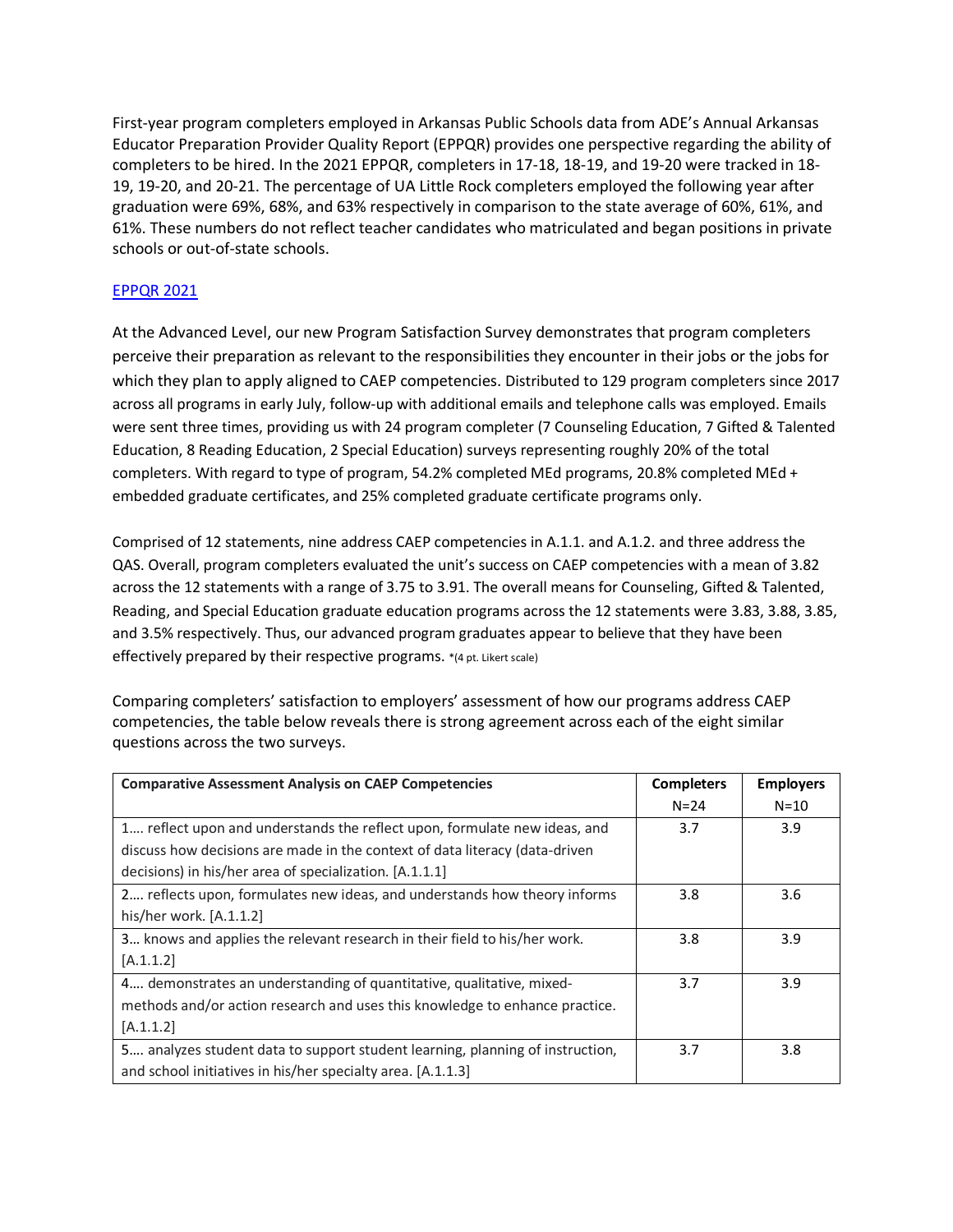First-year program completers employed in Arkansas Public Schools data from ADE's Annual Arkansas Educator Preparation Provider Quality Report (EPPQR) provides one perspective regarding the ability of completers to be hired. In the 2021 EPPQR, completers in 17-18, 18-19, and 19-20 were tracked in 18- 19, 19-20, and 20-21. The percentage of UA Little Rock completers employed the following year after graduation were 69%, 68%, and 63% respectively in comparison to the state average of 60%, 61%, and 61%. These numbers do not reflect teacher candidates who matriculated and began positions in private schools or out-of-state schools.

#### EPPQR 2021

At the Advanced Level, our new Program Satisfaction Survey demonstrates that program completers perceive their preparation as relevant to the responsibilities they encounter in their jobs or the jobs for which they plan to apply aligned to CAEP competencies. Distributed to 129 program completers since 2017 across all programs in early July, follow-up with additional emails and telephone calls was employed. Emails were sent three times, providing us with 24 program completer (7 Counseling Education, 7 Gifted & Talented Education, 8 Reading Education, 2 Special Education) surveys representing roughly 20% of the total completers. With regard to type of program, 54.2% completed MEd programs, 20.8% completed MEd + embedded graduate certificates, and 25% completed graduate certificate programs only.

Comprised of 12 statements, nine address CAEP competencies in A.1.1. and A.1.2. and three address the QAS. Overall, program completers evaluated the unit's success on CAEP competencies with a mean of 3.82 across the 12 statements with a range of 3.75 to 3.91. The overall means for Counseling, Gifted & Talented, Reading, and Special Education graduate education programs across the 12 statements were 3.83, 3.88, 3.85, and 3.5% respectively. Thus, our advanced program graduates appear to believe that they have been effectively prepared by their respective programs. \*(4 pt. Likert scale)

Comparing completers' satisfaction to employers' assessment of how our programs address CAEP competencies, the table below reveals there is strong agreement across each of the eight similar questions across the two surveys.

| <b>Comparative Assessment Analysis on CAEP Competencies</b>                   | <b>Completers</b> | <b>Employers</b> |
|-------------------------------------------------------------------------------|-------------------|------------------|
|                                                                               | $N = 24$          | $N = 10$         |
| 1 reflect upon and understands the reflect upon, formulate new ideas, and     | 3.7               | 3.9              |
| discuss how decisions are made in the context of data literacy (data-driven   |                   |                  |
| decisions) in his/her area of specialization. [A.1.1.1]                       |                   |                  |
| 2 reflects upon, formulates new ideas, and understands how theory informs     | 3.8               | 3.6              |
| his/her work. [A.1.1.2]                                                       |                   |                  |
| 3 knows and applies the relevant research in their field to his/her work.     | 3.8               | 3.9              |
| [A.1.1.2]                                                                     |                   |                  |
| 4 demonstrates an understanding of quantitative, qualitative, mixed-          | 3.7               | 3.9              |
| methods and/or action research and uses this knowledge to enhance practice.   |                   |                  |
| [A.1.1.2]                                                                     |                   |                  |
| 5 analyzes student data to support student learning, planning of instruction, | 3.7               | 3.8              |
| and school initiatives in his/her specialty area. [A.1.1.3]                   |                   |                  |